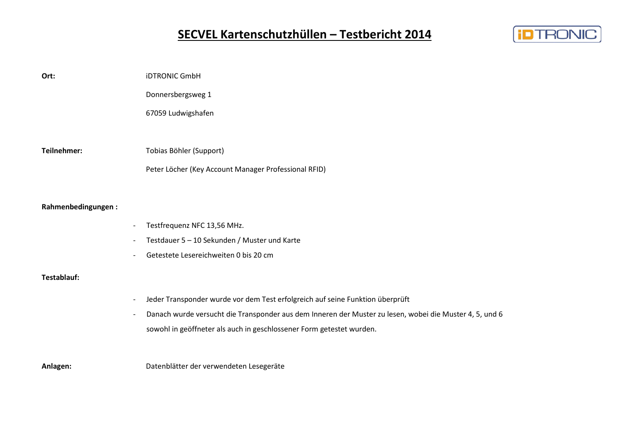# **SECVEL Kartenschutzhüllen – Testbericht 2014**



| Ort:                     | <b>iDTRONIC GmbH</b>                                                                                    |
|--------------------------|---------------------------------------------------------------------------------------------------------|
|                          | Donnersbergsweg 1                                                                                       |
|                          | 67059 Ludwigshafen                                                                                      |
|                          |                                                                                                         |
| Teilnehmer:              | Tobias Böhler (Support)                                                                                 |
|                          | Peter Löcher (Key Account Manager Professional RFID)                                                    |
|                          |                                                                                                         |
| Rahmenbedingungen:       |                                                                                                         |
|                          | Testfrequenz NFC 13,56 MHz.                                                                             |
|                          | Testdauer 5 - 10 Sekunden / Muster und Karte                                                            |
|                          | Getestete Lesereichweiten 0 bis 20 cm                                                                   |
| Testablauf:              |                                                                                                         |
| $\overline{\phantom{a}}$ | Jeder Transponder wurde vor dem Test erfolgreich auf seine Funktion überprüft                           |
|                          | Danach wurde versucht die Transponder aus dem Inneren der Muster zu lesen, wobei die Muster 4, 5, und 6 |
|                          | sowohl in geöffneter als auch in geschlossener Form getestet wurden.                                    |
|                          |                                                                                                         |
| Anlagen:                 | Datenblätter der verwendeten Lesegeräte                                                                 |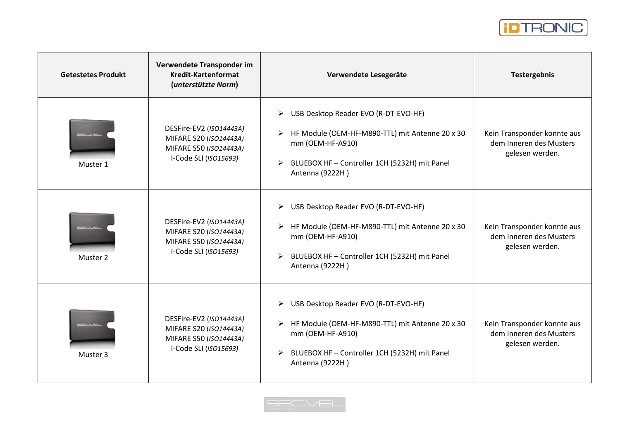

| <b>Getestetes Produkt</b> | Verwendete Transponder im<br><b>Kredit-Kartenformat</b><br>(unterstützte Norm)                       | Verwendete Lesegeräte                                                                                                                                                                     | <b>Testergebnis</b>                                                       |
|---------------------------|------------------------------------------------------------------------------------------------------|-------------------------------------------------------------------------------------------------------------------------------------------------------------------------------------------|---------------------------------------------------------------------------|
| Muster 1                  | DESFire-EV2 (ISO14443A)<br>MIFARE S20 (ISO14443A)<br>MIFARE S50 (ISO14443A)<br>I-Code SLI (ISO15693) | USB Desktop Reader EVO (R-DT-EVO-HF)<br>➤<br>HF Module (OEM-HF-M890-TTL) mit Antenne 20 x 30<br>mm (OEM-HF-A910)<br>BLUEBOX HF - Controller 1CH (5232H) mit Panel<br>Antenna (9222H)      | Kein Transponder konnte aus<br>dem Inneren des Musters<br>gelesen werden. |
| Muster 2                  | DESFire-EV2 (ISO14443A)<br>MIFARE S20 (ISO14443A)<br>MIFARE S50 (ISO14443A)<br>I-Code SLI (ISO15693) | USB Desktop Reader EVO (R-DT-EVO-HF)<br>➤<br>HF Module (OEM-HF-M890-TTL) mit Antenne 20 x 30<br>mm (OEM-HF-A910)<br>BLUEBOX HF - Controller 1CH (5232H) mit Panel<br>Antenna (9222H)      | Kein Transponder konnte aus<br>dem Inneren des Musters<br>gelesen werden. |
| Muster 3                  | DESFire-EV2 (ISO14443A)<br>MIFARE S20 (ISO14443A)<br>MIFARE S50 (ISO14443A)<br>I-Code SLI (ISO15693) | USB Desktop Reader EVO (R-DT-EVO-HF)<br>➤<br>HF Module (OEM-HF-M890-TTL) mit Antenne 20 x 30<br>mm (OEM-HF-A910)<br>BLUEBOX HF - Controller 1CH (5232H) mit Panel<br>➤<br>Antenna (9222H) | Kein Transponder konnte aus<br>dem Inneren des Musters<br>gelesen werden. |

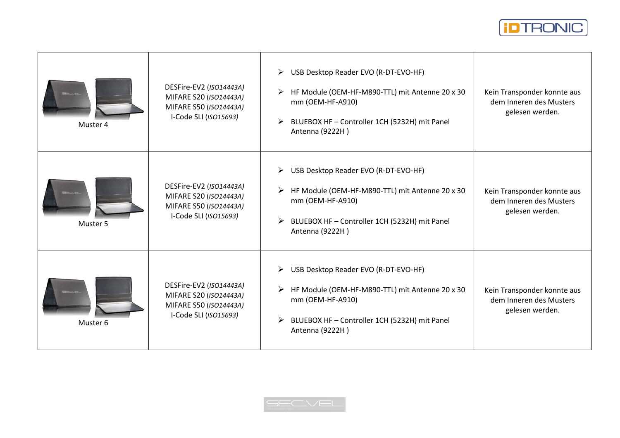

| Muster 4 | DESFire-EV2 (ISO14443A)<br>MIFARE S20 (ISO14443A)<br>MIFARE S50 (ISO14443A)<br>I-Code SLI (ISO15693) | USB Desktop Reader EVO (R-DT-EVO-HF)<br>➤<br>HF Module (OEM-HF-M890-TTL) mit Antenne 20 x 30<br>➤<br>mm (OEM-HF-A910)<br>➤<br>BLUEBOX HF - Controller 1CH (5232H) mit Panel<br>Antenna (9222H)           | Kein Transponder konnte aus<br>dem Inneren des Musters<br>gelesen werden. |
|----------|------------------------------------------------------------------------------------------------------|----------------------------------------------------------------------------------------------------------------------------------------------------------------------------------------------------------|---------------------------------------------------------------------------|
| Muster 5 | DESFire-EV2 (ISO14443A)<br>MIFARE S20 (ISO14443A)<br>MIFARE S50 (ISO14443A)<br>I-Code SLI (ISO15693) | USB Desktop Reader EVO (R-DT-EVO-HF)<br>➤<br>HF Module (OEM-HF-M890-TTL) mit Antenne 20 x 30<br>mm (OEM-HF-A910)<br>BLUEBOX HF - Controller 1CH (5232H) mit Panel<br>➤<br>Antenna (9222H)                | Kein Transponder konnte aus<br>dem Inneren des Musters<br>gelesen werden. |
| Muster 6 | DESFire-EV2 (ISO14443A)<br>MIFARE S20 (ISO14443A)<br>MIFARE S50 (ISO14443A)<br>I-Code SLI (ISO15693) | $\blacktriangleright$<br>USB Desktop Reader EVO (R-DT-EVO-HF)<br>HF Module (OEM-HF-M890-TTL) mit Antenne 20 x 30<br>mm (OEM-HF-A910)<br>BLUEBOX HF - Controller 1CH (5232H) mit Panel<br>Antenna (9222H) | Kein Transponder konnte aus<br>dem Inneren des Musters<br>gelesen werden. |

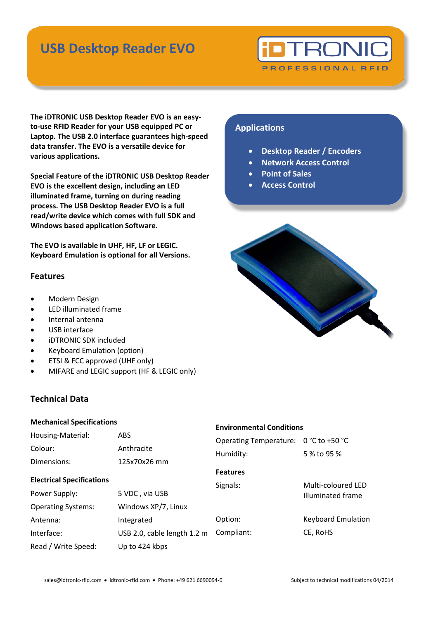# **USB Desktop Reader EVO**

# **TRONI**

PROFESSIONAL RFID

**The iDTRONIC USB Desktop Reader EVO is an easyto-use RFID Reader for your USB equipped PC or Laptop. The USB 2.0 interface guarantees high-speed data transfer. The EVO is a versatile device for various applications.**

**Special Feature of the iDTRONIC USB Desktop Reader EVO is the excellent design, including an LED illuminated frame, turning on during reading process. The USB Desktop Reader EVO is a full read/write device which comes with full SDK and Windows based application Software.**

**The EVO is available in UHF, HF, LF or LEGIC. Keyboard Emulation is optional for all Versions.** 

## **Features**

- Modern Design
- LED illuminated frame
- Internal antenna
- USB interface
- iDTRONIC SDK included
- Keyboard Emulation (option)
- ETSI & FCC approved (UHF only)
- MIFARE and LEGIC support (HF & LEGIC only)

## **Technical Data**

| <b>Mechanical Specifications</b>                                               |                                           | <b>Environmental Conditions</b>            |                                         |
|--------------------------------------------------------------------------------|-------------------------------------------|--------------------------------------------|-----------------------------------------|
| Housing-Material:<br>Colour:<br>Dimensions:                                    | <b>ABS</b><br>Anthracite<br>125x70x26 mm  | <b>Operating Temperature:</b><br>Humidity: | $0 °C$ to +50 $°C$<br>5 % to 95 %       |
| <b>Electrical Specifications</b><br>Power Supply:<br><b>Operating Systems:</b> | 5 VDC, via USB<br>Windows XP/7, Linux     | <b>Features</b><br>Signals:                | Multi-coloured LED<br>Illuminated frame |
| Antenna:<br>Interface:                                                         | Integrated<br>USB 2.0, cable length 1.2 m | Option:<br>Compliant:                      | <b>Keyboard Emulation</b><br>CE, RoHS   |
| Read / Write Speed:                                                            | Up to 424 kbps                            |                                            |                                         |

## **Applications**

- **Desktop Reader / Encoders**
- **Network Access Control**
- **Point of Sales**
- **Access Control**

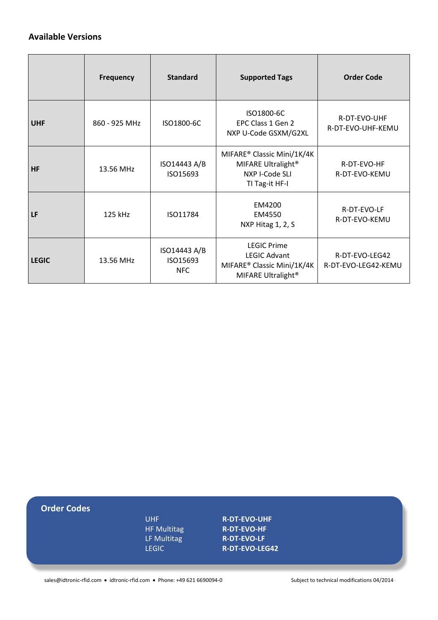## **Available Versions**

|              | <b>Frequency</b> | <b>Standard</b>                        | <b>Supported Tags</b>                                                                                     | <b>Order Code</b>                     |
|--------------|------------------|----------------------------------------|-----------------------------------------------------------------------------------------------------------|---------------------------------------|
| <b>UHF</b>   | 860 - 925 MHz    | ISO1800-6C                             | ISO1800-6C<br>EPC Class 1 Gen 2<br>NXP U-Code GSXM/G2XL                                                   | R-DT-EVO-UHF<br>R-DT-EVO-UHF-KEMU     |
| <b>HF</b>    | 13.56 MHz        | ISO14443 A/B<br>ISO15693               | MIFARE® Classic Mini/1K/4K<br>MIFARE Ultralight <sup>®</sup><br>NXP I-Code SLI<br>TI Tag-it HF-I          | R-DT-EVO-HF<br>R-DT-EVO-KEMU          |
| LF           | 125 kHz          | ISO11784                               | EM4200<br>EM4550<br>NXP Hitag 1, 2, S                                                                     | R-DT-EVO-LF<br>R-DT-EVO-KEMU          |
| <b>LEGIC</b> | 13.56 MHz        | ISO14443 A/B<br>ISO15693<br><b>NFC</b> | <b>LEGIC Prime</b><br><b>LEGIC Advant</b><br>MIFARE® Classic Mini/1K/4K<br>MIFARE Ultralight <sup>®</sup> | R-DT-EVO-LEG42<br>R-DT-EVO-LEG42-KEMU |

| <b>Order Codes</b> |                    |                       |  |
|--------------------|--------------------|-----------------------|--|
|                    | UHF                | <b>R-DT-EVO-UHF</b>   |  |
|                    | <b>HF Multitag</b> | <b>R-DT-EVO-HF</b>    |  |
|                    | LF Multitag        | <b>R-DT-EVO-LF</b>    |  |
|                    | <b>LEGIC</b>       | <b>R-DT-EVO-LEG42</b> |  |
|                    |                    |                       |  |
|                    |                    |                       |  |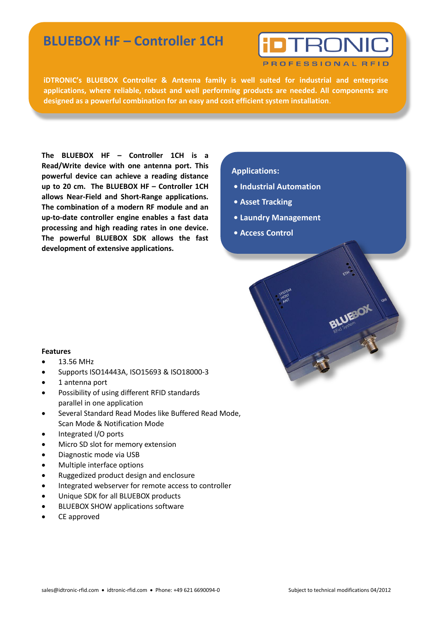## **BLUEBOX HF – Controller 1CH**

**RONI** 

PROFESSIONAL RFID

**iDTRONIC's BLUEBOX Controller & Antenna family is well suited for industrial and enterprise applications, where reliable, robust and well performing products are needed. All components are designed as a powerful combination for an easy and cost efficient system installation**.

**The BLUEBOX HF – Controller 1CH is a Read/Write device with one antenna port. This powerful device can achieve a reading distance up to 20 cm. The BLUEBOX HF – Controller 1CH allows Near-Field and Short-Range applications. The combination of a modern RF module and an up-to-date controller engine enables a fast data processing and high reading rates in one device. The powerful BLUEBOX SDK allows the fast development of extensive applications.** 

## **Applications:**

- **• Industrial Automation**
- **Asset Tracking**
- **• Laundry Management**
- **• Access Control**



- $\bullet$  13.56 MHz
- Supports ISO14443A, ISO15693 & ISO18000-3
- 1 antenna port
- Possibility of using different RFID standards parallel in one application
- Several Standard Read Modes like Buffered Read Mode, Scan Mode & Notification Mode
- Integrated I/O ports
- Micro SD slot for memory extension
- Diagnostic mode via USB
- Multiple interface options
- Ruggedized product design and enclosure
- Integrated webserver for remote access to controller
- Unique SDK for all BLUEBOX products
- BLUEBOX SHOW applications software
- CE approved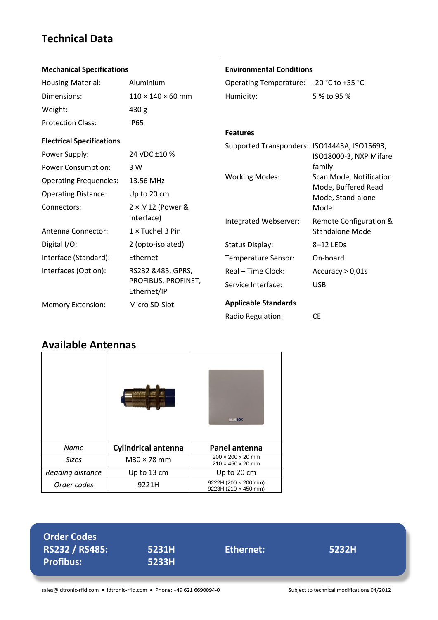## **Technical Data**

| <b>Mechanical Specifications</b> |                                    | <b>Environmental Conditions</b>                                 |                                                |
|----------------------------------|------------------------------------|-----------------------------------------------------------------|------------------------------------------------|
| Housing-Material:                | Aluminium                          | Operating Temperature: - 20 °C to +55 °C                        |                                                |
| Dimensions:                      | $110 \times 140 \times 60$ mm      | Humidity:                                                       | 5 % to 95 %                                    |
| Weight:                          | 430 <sub>g</sub>                   |                                                                 |                                                |
| <b>Protection Class:</b>         | <b>IP65</b>                        |                                                                 |                                                |
| <b>Electrical Specifications</b> |                                    | <b>Features</b><br>Supported Transponders: ISO14443A, ISO15693, |                                                |
| Power Supply:                    | 24 VDC ±10 %                       |                                                                 | ISO18000-3, NXP Mifare                         |
| <b>Power Consumption:</b>        | 3 W                                |                                                                 | family                                         |
| <b>Operating Frequencies:</b>    | 13.56 MHz                          | <b>Working Modes:</b>                                           | Scan Mode, Notification<br>Mode, Buffered Read |
| <b>Operating Distance:</b>       | Up to 20 cm                        |                                                                 | Mode, Stand-alone                              |
| Connectors:                      | $2 \times M12$ (Power &            |                                                                 | Mode                                           |
|                                  | Interface)                         | Integrated Webserver:                                           | Remote Configuration &                         |
| Antenna Connector:               | $1 \times$ Tuchel 3 Pin            |                                                                 | <b>Standalone Mode</b>                         |
| Digital I/O:                     | 2 (opto-isolated)                  | <b>Status Display:</b>                                          | 8-12 LEDs                                      |
| Interface (Standard):            | Ethernet                           | Temperature Sensor:                                             | On-board                                       |
| Interfaces (Option):             | RS232 &485, GPRS,                  | Real - Time Clock:                                              | Accuracy $> 0.01$ s                            |
|                                  | PROFIBUS, PROFINET,<br>Ethernet/IP | Service Interface:                                              | <b>USB</b>                                     |
| <b>Memory Extension:</b>         | Micro SD-Slot                      | <b>Applicable Standards</b>                                     |                                                |
|                                  |                                    | Radio Regulation:                                               | <b>CE</b>                                      |

## **Available Antennas**

|                  | ,,,,,,,,,,,,,              | <b>BLUE:OX</b>                                                 |
|------------------|----------------------------|----------------------------------------------------------------|
| <b>Name</b>      | <b>Cylindrical antenna</b> | Panel antenna                                                  |
| <b>Sizes</b>     | $M30 \times 78$ mm         | $200 \times 200 \times 20$ mm<br>$210 \times 450 \times 20$ mm |
| Reading distance | Up to 13 cm                | Up to 20 cm                                                    |
| Order codes      | 9221H                      | 9222H (200 $\times$ 200 mm)<br>9223H (210 x 450 mm)            |

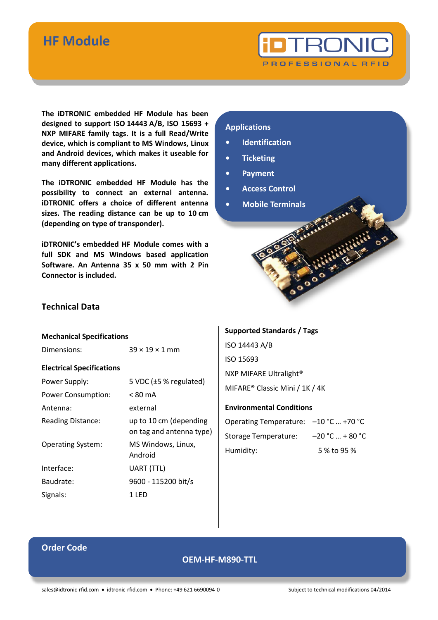## **HF Module**



**The iDTRONIC embedded HF Module has been designed to support ISO 14443 A/B, ISO 15693 + NXP MIFARE family tags. It is a full Read/Write device, which is compliant to MS Windows, Linux and Android devices, which makes it useable for many different applications.** 

**The iDTRONIC embedded HF Module has the possibility to connect an external antenna. iDTRONIC offers a choice of different antenna sizes. The reading distance can be up to 10 cm (depending on type of transponder).**

**iDTRONIC's embedded HF Module comes with a full SDK and MS Windows based application Software. An Antenna 35 x 50 mm with 2 Pin Connector is included.**

## **Applications**

- **Identification**
- **• Ticketing**
- **• Payment**
- **• Access Control**
- **• Mobile Terminals**



#### **Mechanical Specifications**

Dimensions:  $39 \times 19 \times 1$  mm

**Electrical Specifications**

| Power Supply:             | 5 VDC (±5 % regulated)                             |
|---------------------------|----------------------------------------------------|
| <b>Power Consumption:</b> | $< 80 \text{ mA}$                                  |
| Antenna:                  | external                                           |
| Reading Distance:         | up to 10 cm (depending<br>on tag and antenna type) |
| <b>Operating System:</b>  | MS Windows, Linux,<br>Android                      |
| Interface:                | UART (TTL)                                         |
| Baudrate:                 | 9600 - 115200 bit/s                                |
| Signals:                  | 1 LFD                                              |

## **Supported Standards / Tags**

ISO 14443 A/B ISO 15693 NXP MIFARE Ultralight® MIFARE® Classic Mini / 1K / 4K

## **Environmental Conditions**

| Operating Temperature: $-10$ °C  +70 °C |                   |
|-----------------------------------------|-------------------|
| <b>Storage Temperature:</b>             | $-20 °C  + 80 °C$ |
| Humidity:                               | 5 % to 95 %       |

## **Order Code**

## **OEM-HF-M890-TTL**